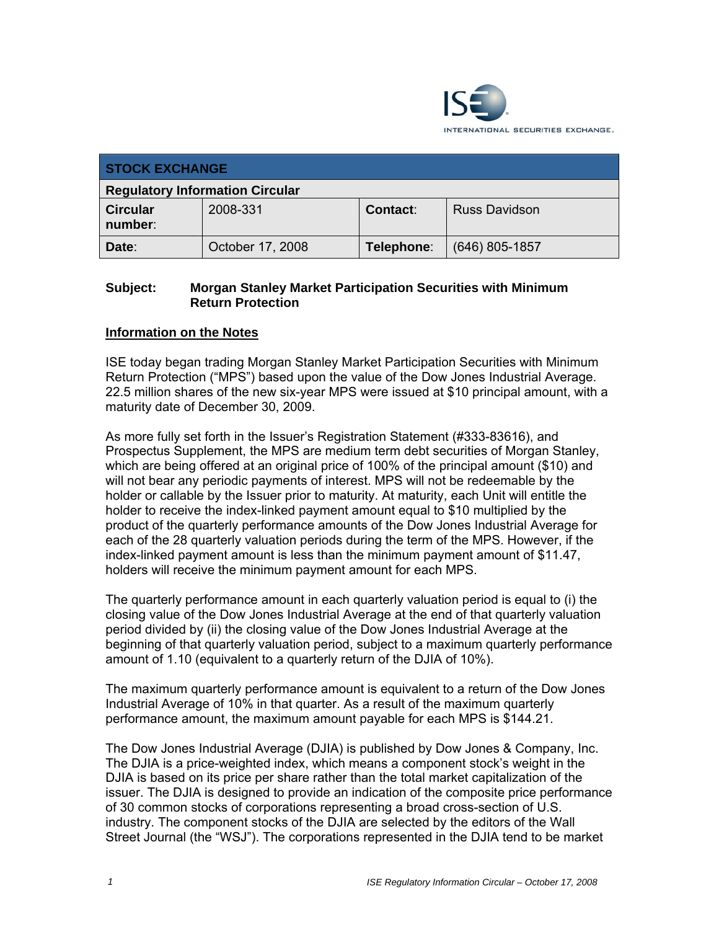

| <b>STOCK EXCHANGE</b>                  |                  |            |                  |  |
|----------------------------------------|------------------|------------|------------------|--|
| <b>Regulatory Information Circular</b> |                  |            |                  |  |
| <b>Circular</b><br>number:             | 2008-331         | Contact:   | Russ Davidson    |  |
| Date:                                  | October 17, 2008 | Telephone: | $(646)$ 805-1857 |  |

## **Subject: Morgan Stanley Market Participation Securities with Minimum Return Protection**

## **Information on the Notes**

ISE today began trading Morgan Stanley Market Participation Securities with Minimum Return Protection ("MPS") based upon the value of the Dow Jones Industrial Average. 22.5 million shares of the new six-year MPS were issued at \$10 principal amount, with a maturity date of December 30, 2009.

As more fully set forth in the Issuer's Registration Statement (#333-83616), and Prospectus Supplement, the MPS are medium term debt securities of Morgan Stanley, which are being offered at an original price of 100% of the principal amount (\$10) and will not bear any periodic payments of interest. MPS will not be redeemable by the holder or callable by the Issuer prior to maturity. At maturity, each Unit will entitle the holder to receive the index-linked payment amount equal to \$10 multiplied by the product of the quarterly performance amounts of the Dow Jones Industrial Average for each of the 28 quarterly valuation periods during the term of the MPS. However, if the index-linked payment amount is less than the minimum payment amount of \$11.47, holders will receive the minimum payment amount for each MPS.

The quarterly performance amount in each quarterly valuation period is equal to (i) the closing value of the Dow Jones Industrial Average at the end of that quarterly valuation period divided by (ii) the closing value of the Dow Jones Industrial Average at the beginning of that quarterly valuation period, subject to a maximum quarterly performance amount of 1.10 (equivalent to a quarterly return of the DJIA of 10%).

The maximum quarterly performance amount is equivalent to a return of the Dow Jones Industrial Average of 10% in that quarter. As a result of the maximum quarterly performance amount, the maximum amount payable for each MPS is \$144.21.

The Dow Jones Industrial Average (DJIA) is published by Dow Jones & Company, Inc. The DJIA is a price-weighted index, which means a component stock's weight in the DJIA is based on its price per share rather than the total market capitalization of the issuer. The DJIA is designed to provide an indication of the composite price performance of 30 common stocks of corporations representing a broad cross-section of U.S. industry. The component stocks of the DJIA are selected by the editors of the Wall Street Journal (the "WSJ"). The corporations represented in the DJIA tend to be market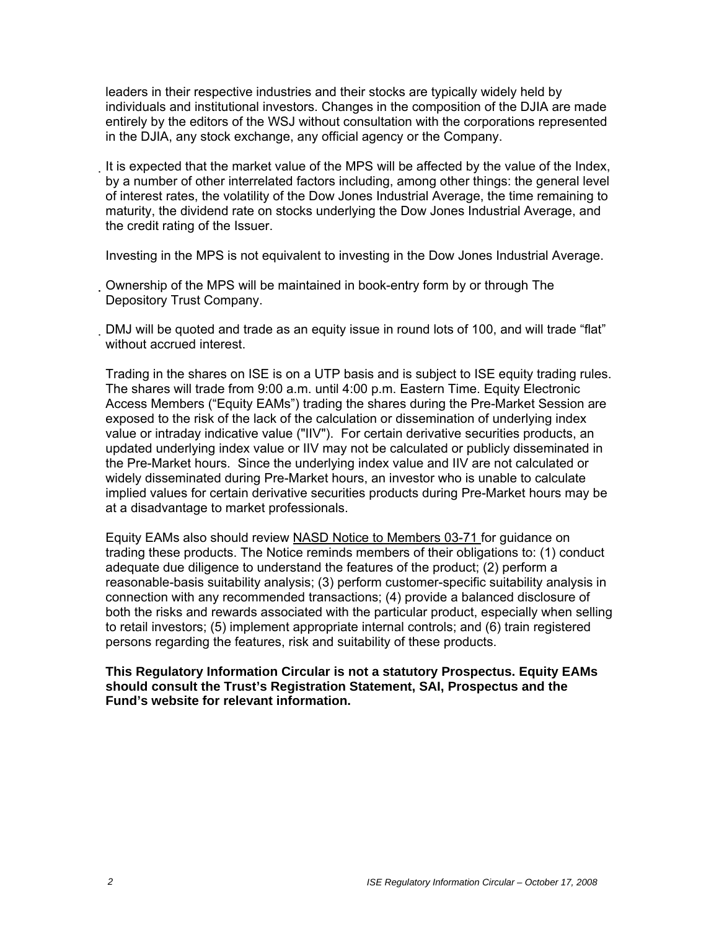leaders in their respective industries and their stocks are typically widely held by individuals and institutional investors. Changes in the composition of the DJIA are made entirely by the editors of the WSJ without consultation with the corporations represented in the DJIA, any stock exchange, any official agency or the Company.

It is expected that the market value of the MPS will be affected by the value of the Index, by a number of other interrelated factors including, among other things: the general level of interest rates, the volatility of the Dow Jones Industrial Average, the time remaining to maturity, the dividend rate on stocks underlying the Dow Jones Industrial Average, and the credit rating of the Issuer.

Investing in the MPS is not equivalent to investing in the Dow Jones Industrial Average.

- Ownership of the MPS will be maintained in book-entry form by or through The Depository Trust Company.
- DMJ will be quoted and trade as an equity issue in round lots of 100, and will trade "flat" without accrued interest.

Trading in the shares on ISE is on a UTP basis and is subject to ISE equity trading rules. The shares will trade from 9:00 a.m. until 4:00 p.m. Eastern Time. Equity Electronic Access Members ("Equity EAMs") trading the shares during the Pre-Market Session are exposed to the risk of the lack of the calculation or dissemination of underlying index value or intraday indicative value ("IIV"). For certain derivative securities products, an updated underlying index value or IIV may not be calculated or publicly disseminated in the Pre-Market hours. Since the underlying index value and IIV are not calculated or widely disseminated during Pre-Market hours, an investor who is unable to calculate implied values for certain derivative securities products during Pre-Market hours may be at a disadvantage to market professionals.

Equity EAMs also should review NASD Notice to Members 03-71 for guidance on trading these products. The Notice reminds members of their obligations to: (1) conduct adequate due diligence to understand the features of the product; (2) perform a reasonable-basis suitability analysis; (3) perform customer-specific suitability analysis in connection with any recommended transactions; (4) provide a balanced disclosure of both the risks and rewards associated with the particular product, especially when selling to retail investors; (5) implement appropriate internal controls; and (6) train registered persons regarding the features, risk and suitability of these products.

## **This Regulatory Information Circular is not a statutory Prospectus. Equity EAMs should consult the Trust's Registration Statement, SAI, Prospectus and the Fund's website for relevant information.**